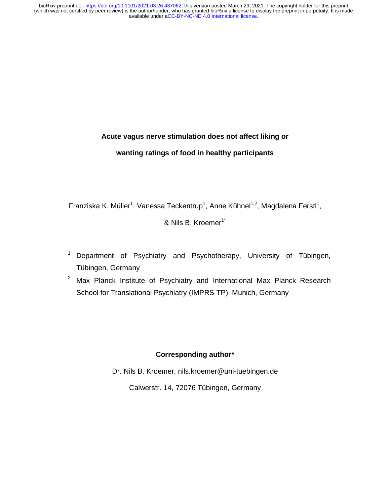**Acute vagus nerve stimulation does not affect liking or** 

# **wanting ratings of food in healthy participants**

Franziska K. Müller<sup>1</sup>, Vanessa Teckentrup<sup>1</sup>, Anne Kühnel<sup>1,2</sup>, Magdalena Ferstl<sup>1</sup>,

& Nils B. Kroemer<sup>1\*</sup>

- 1 Department of Psychiatry and Psychotherapy, University of Tübingen, Tübingen, Germany
- $2$  Max Planck Institute of Psychiatry and International Max Planck Research School for Translational Psychiatry (IMPRS-TP), Munich, Germany

# **Corresponding author\***

Dr. Nils B. Kroemer, nils.kroemer@uni-tuebingen.de

Calwerstr. 14, 72076 Tübingen, Germany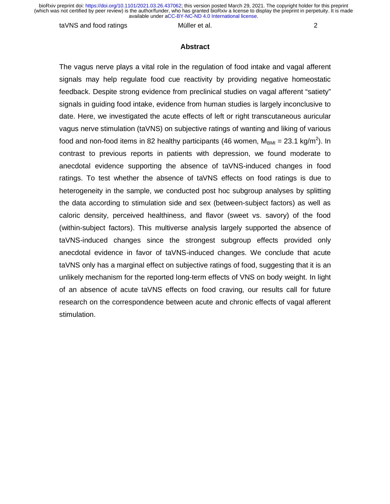taVNS and food ratings and the Müller et al. 2

#### **Abstract**

The vagus nerve plays a vital role in the regulation of food intake and vagal afferent signals may help regulate food cue reactivity by providing negative homeostatic feedback. Despite strong evidence from preclinical studies on vagal afferent "satiety" signals in guiding food intake, evidence from human studies is largely inconclusive to date. Here, we investigated the acute effects of left or right transcutaneous auricular vagus nerve stimulation (taVNS) on subjective ratings of wanting and liking of various food and non-food items in 82 healthy participants (46 women,  $M_{\text{BMI}} = 23.1 \text{ kg/m}^2$ ). In contrast to previous reports in patients with depression, we found moderate to anecdotal evidence supporting the absence of taVNS-induced changes in food ratings. To test whether the absence of taVNS effects on food ratings is due to heterogeneity in the sample, we conducted post hoc subgroup analyses by splitting the data according to stimulation side and sex (between-subject factors) as well as caloric density, perceived healthiness, and flavor (sweet vs. savory) of the food (within-subject factors). This multiverse analysis largely supported the absence of taVNS-induced changes since the strongest subgroup effects provided only anecdotal evidence in favor of taVNS-induced changes. We conclude that acute taVNS only has a marginal effect on subjective ratings of food, suggesting that it is an unlikely mechanism for the reported long-term effects of VNS on body weight. In light of an absence of acute taVNS effects on food craving, our results call for future research on the correspondence between acute and chronic effects of vagal afferent stimulation.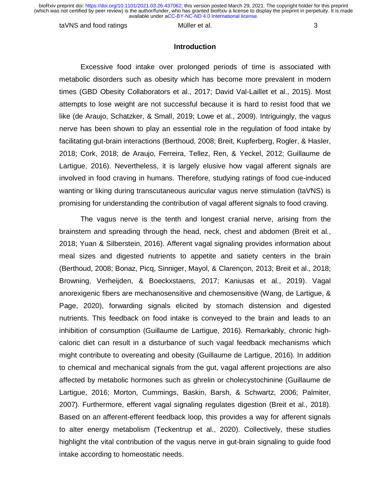taVNS and food ratings Müller et al. 3

### **Introduction**

Excessive food intake over prolonged periods of time is associated with metabolic disorders such as obesity which has become more prevalent in modern times (GBD Obesity Collaborators et al., 2017; David Val-Laillet et al., 2015). Most attempts to lose weight are not successful because it is hard to resist food that we like (de Araujo, Schatzker, & Small, 2019; Lowe et al., 2009). Intriguingly, the vagus nerve has been shown to play an essential role in the regulation of food intake by facilitating gut-brain interactions (Berthoud, 2008; Breit, Kupferberg, Rogler, & Hasler, 2018; Cork, 2018; de Araujo, Ferreira, Tellez, Ren, & Yeckel, 2012; Guillaume de Lartigue, 2016). Nevertheless, it is largely elusive how vagal afferent signals are involved in food craving in humans. Therefore, studying ratings of food cue-induced wanting or liking during transcutaneous auricular vagus nerve stimulation (taVNS) is promising for understanding the contribution of vagal afferent signals to food craving.

The vagus nerve is the tenth and longest cranial nerve, arising from the brainstem and spreading through the head, neck, chest and abdomen (Breit et al., 2018; Yuan & Silberstein, 2016). Afferent vagal signaling provides information about meal sizes and digested nutrients to appetite and satiety centers in the brain (Berthoud, 2008; Bonaz, Picq, Sinniger, Mayol, & Clarençon, 2013; Breit et al., 2018; Browning, Verheijden, & Boeckxstaens, 2017; Kaniusas et al., 2019). Vagal anorexigenic fibers are mechanosensitive and chemosensitive (Wang, de Lartigue, & Page, 2020), forwarding signals elicited by stomach distension and digested nutrients. This feedback on food intake is conveyed to the brain and leads to an inhibition of consumption (Guillaume de Lartigue, 2016). Remarkably, chronic highcaloric diet can result in a disturbance of such vagal feedback mechanisms which might contribute to overeating and obesity (Guillaume de Lartigue, 2016). In addition to chemical and mechanical signals from the gut, vagal afferent projections are also affected by metabolic hormones such as ghrelin or cholecystochinine (Guillaume de Lartigue, 2016; Morton, Cummings, Baskin, Barsh, & Schwartz, 2006; Palmiter, 2007). Furthermore, efferent vagal signaling regulates digestion (Breit et al., 2018). Based on an afferent-efferent feedback loop, this provides a way for afferent signals to alter energy metabolism (Teckentrup et al., 2020). Collectively, these studies highlight the vital contribution of the vagus nerve in gut-brain signaling to guide food intake according to homeostatic needs.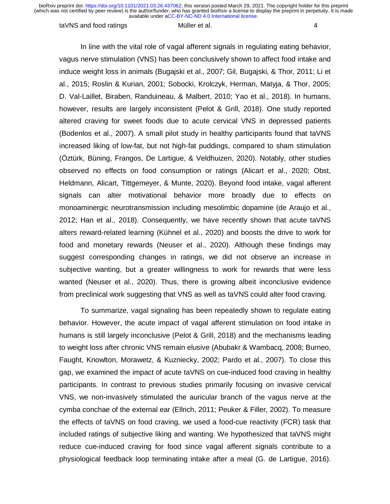#### taVNS and food ratings and the Müller et al. 4 and 4 and 4 and 4 and 4 and 4 and 4 and 4 and 4 and 4 and 4 and 4 and 4 and 4 and 4 and 4 and 4 and 4 and 4 and 4 and 4 and 4 and 4 and 4 and 4 and 4 and 4 and 4 and 4 and 4 a

In line with the vital role of vagal afferent signals in regulating eating behavior, vagus nerve stimulation (VNS) has been conclusively shown to affect food intake and induce weight loss in animals (Bugajski et al., 2007; Gil, Bugajski, & Thor, 2011; Li et al., 2015; Roslin & Kurian, 2001; Sobocki, Krolczyk, Herman, Matyja, & Thor, 2005; D. Val-Laillet, Biraben, Randuineau, & Malbert, 2010; Yao et al., 2018). In humans, however, results are largely inconsistent (Pelot & Grill, 2018). One study reported altered craving for sweet foods due to acute cervical VNS in depressed patients (Bodenlos et al., 2007). A small pilot study in healthy participants found that taVNS increased liking of low-fat, but not high-fat puddings, compared to sham stimulation (Öztürk, Büning, Frangos, De Lartigue, & Veldhuizen, 2020). Notably, other studies observed no effects on food consumption or ratings (Alicart et al., 2020; Obst, Heldmann, Alicart, Tittgemeyer, & Munte, 2020). Beyond food intake, vagal afferent signals can alter motivational behavior more broadly due to effects on monoaminergic neurotransmission including mesolimbic dopamine (de Araujo et al., 2012; Han et al., 2018). Consequently, we have recently shown that acute taVNS alters reward-related learning (Kühnel et al., 2020) and boosts the drive to work for food and monetary rewards (Neuser et al., 2020). Although these findings may suggest corresponding changes in ratings, we did not observe an increase in subjective wanting, but a greater willingness to work for rewards that were less wanted (Neuser et al., 2020). Thus, there is growing albeit inconclusive evidence from preclinical work suggesting that VNS as well as taVNS could alter food craving.

To summarize, vagal signaling has been repeatedly shown to regulate eating behavior. However, the acute impact of vagal afferent stimulation on food intake in humans is still largely inconclusive (Pelot & Grill, 2018) and the mechanisms leading to weight loss after chronic VNS remain elusive (Abubakr & Wambacq, 2008; Burneo, Faught, Knowlton, Morawetz, & Kuzniecky, 2002; Pardo et al., 2007). To close this gap, we examined the impact of acute taVNS on cue-induced food craving in healthy participants. In contrast to previous studies primarily focusing on invasive cervical VNS, we non-invasively stimulated the auricular branch of the vagus nerve at the cymba conchae of the external ear (Ellrich, 2011; Peuker & Filler, 2002). To measure the effects of taVNS on food craving, we used a food-cue reactivity (FCR) task that included ratings of subjective liking and wanting. We hypothesized that taVNS might reduce cue-induced craving for food since vagal afferent signals contribute to a physiological feedback loop terminating intake after a meal (G. de Lartigue, 2016).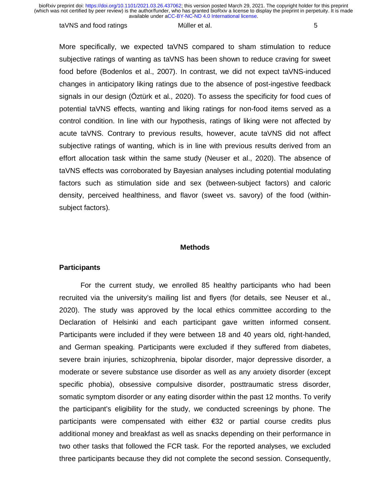#### taVNS and food ratings The Müller et al. 5 and 5 and 5 and 5 and 5 and 5 and 5 and 5 and 5 and 5 and 5 and 5 and 5 and 5 and 5 and 5 and 5 and 5 and 5 and 5 and 5 and 5 and 5 and 5 and 5 and 5 and 5 and 5 and 5 and 5 and 5

More specifically, we expected taVNS compared to sham stimulation to reduce subjective ratings of wanting as taVNS has been shown to reduce craving for sweet food before (Bodenlos et al., 2007). In contrast, we did not expect taVNS-induced changes in anticipatory liking ratings due to the absence of post-ingestive feedback signals in our design (Öztürk et al., 2020). To assess the specificity for food cues of potential taVNS effects, wanting and liking ratings for non-food items served as a control condition. In line with our hypothesis, ratings of liking were not affected by acute taVNS. Contrary to previous results, however, acute taVNS did not affect subjective ratings of wanting, which is in line with previous results derived from an effort allocation task within the same study (Neuser et al., 2020). The absence of taVNS effects was corroborated by Bayesian analyses including potential modulating factors such as stimulation side and sex (between-subject factors) and caloric density, perceived healthiness, and flavor (sweet vs. savory) of the food (withinsubject factors).

#### **Methods**

### **Participants**

For the current study, we enrolled 85 healthy participants who had been recruited via the university's mailing list and flyers (for details, see Neuser et al., 2020). The study was approved by the local ethics committee according to the Declaration of Helsinki and each participant gave written informed consent. Participants were included if they were between 18 and 40 years old, right-handed, and German speaking. Participants were excluded if they suffered from diabetes, severe brain injuries, schizophrenia, bipolar disorder, major depressive disorder, a moderate or severe substance use disorder as well as any anxiety disorder (except specific phobia), obsessive compulsive disorder, posttraumatic stress disorder, somatic symptom disorder or any eating disorder within the past 12 months. To verify the participant's eligibility for the study, we conducted screenings by phone. The participants were compensated with either €32 or partial course credits plus additional money and breakfast as well as snacks depending on their performance in two other tasks that followed the FCR task. For the reported analyses, we excluded three participants because they did not complete the second session. Consequently,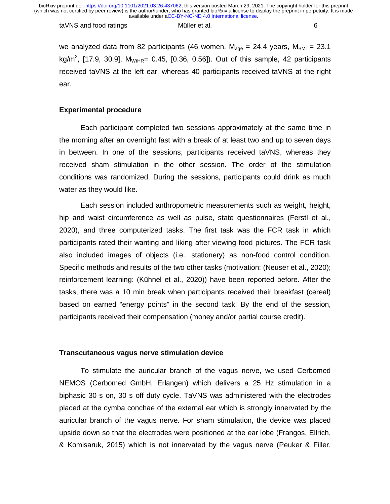taVNS and food ratings and the Müller et al. 6 and 5 and 6 and 6 and 6 and 6 and 6 and 6 and 6 and 6 and 6 and 6

we analyzed data from 82 participants (46 women,  $M_{\text{ace}} = 24.4$  years,  $M_{\text{BMI}} = 23.1$ kg/m<sup>2</sup>, [17.9, 30.9], M<sub>WtHR</sub>= 0.45, [0.36, 0.56]). Out of this sample, 42 participants received taVNS at the left ear, whereas 40 participants received taVNS at the right ear.

### **Experimental procedure**

Each participant completed two sessions approximately at the same time in the morning after an overnight fast with a break of at least two and up to seven days in between. In one of the sessions, participants received taVNS, whereas they received sham stimulation in the other session. The order of the stimulation conditions was randomized. During the sessions, participants could drink as much water as they would like.

Each session included anthropometric measurements such as weight, height, hip and waist circumference as well as pulse, state questionnaires (Ferstl et al., 2020), and three computerized tasks. The first task was the FCR task in which participants rated their wanting and liking after viewing food pictures. The FCR task also included images of objects (i.e., stationery) as non-food control condition. Specific methods and results of the two other tasks (motivation: (Neuser et al., 2020); reinforcement learning: (Kühnel et al., 2020)) have been reported before. After the tasks, there was a 10 min break when participants received their breakfast (cereal) based on earned "energy points" in the second task. By the end of the session, participants received their compensation (money and/or partial course credit).

### **Transcutaneous vagus nerve stimulation device**

To stimulate the auricular branch of the vagus nerve, we used Cerbomed NEMOS (Cerbomed GmbH, Erlangen) which delivers a 25 Hz stimulation in a biphasic 30 s on, 30 s off duty cycle. TaVNS was administered with the electrodes placed at the cymba conchae of the external ear which is strongly innervated by the auricular branch of the vagus nerve. For sham stimulation, the device was placed upside down so that the electrodes were positioned at the ear lobe (Frangos, Ellrich, & Komisaruk, 2015) which is not innervated by the vagus nerve (Peuker & Filler,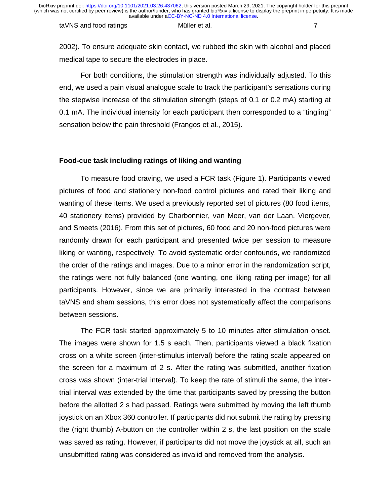#### taVNS and food ratings The Müller et al. 7 AMB 2014 19:30 19:30 19:30 19:30 19:30 19:30 19:30 19:30 19:30 19:3

2002). To ensure adequate skin contact, we rubbed the skin with alcohol and placed medical tape to secure the electrodes in place.

For both conditions, the stimulation strength was individually adjusted. To this end, we used a pain visual analogue scale to track the participant's sensations during the stepwise increase of the stimulation strength (steps of 0.1 or 0.2 mA) starting at 0.1 mA. The individual intensity for each participant then corresponded to a "tingling" sensation below the pain threshold (Frangos et al., 2015).

## **Food-cue task including ratings of liking and wanting**

To measure food craving, we used a FCR task (Figure 1). Participants viewed pictures of food and stationery non-food control pictures and rated their liking and wanting of these items. We used a previously reported set of pictures (80 food items, 40 stationery items) provided by Charbonnier, van Meer, van der Laan, Viergever, and Smeets (2016). From this set of pictures, 60 food and 20 non-food pictures were randomly drawn for each participant and presented twice per session to measure liking or wanting, respectively. To avoid systematic order confounds, we randomized the order of the ratings and images. Due to a minor error in the randomization script, the ratings were not fully balanced (one wanting, one liking rating per image) for all participants. However, since we are primarily interested in the contrast between taVNS and sham sessions, this error does not systematically affect the comparisons between sessions.

The FCR task started approximately 5 to 10 minutes after stimulation onset. The images were shown for 1.5 s each. Then, participants viewed a black fixation cross on a white screen (inter-stimulus interval) before the rating scale appeared on the screen for a maximum of 2 s. After the rating was submitted, another fixation cross was shown (inter-trial interval). To keep the rate of stimuli the same, the intertrial interval was extended by the time that participants saved by pressing the button before the allotted 2 s had passed. Ratings were submitted by moving the left thumb joystick on an Xbox 360 controller. If participants did not submit the rating by pressing the (right thumb) A-button on the controller within 2 s, the last position on the scale was saved as rating. However, if participants did not move the joystick at all, such an unsubmitted rating was considered as invalid and removed from the analysis.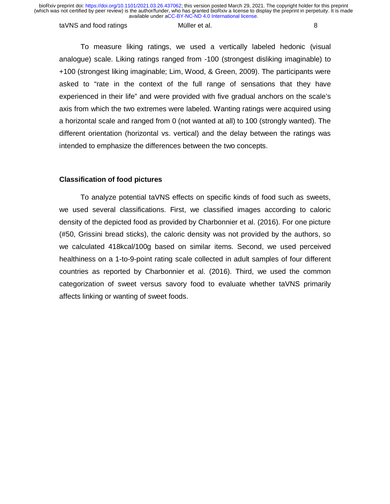#### taVNS and food ratings and the Müller et al. 8 and 5 and 5 and 6 and 6 and 6 and 6 and 6 and 6 and 6 and 6 and 6 and 6 and 6 and 6 and 6 and 6 and 6 and 6 and 6 and 6 and 6 and 6 and 6 and 6 and 6 and 6 and 6 and 6 and 6 a

To measure liking ratings, we used a vertically labeled hedonic (visual analogue) scale. Liking ratings ranged from -100 (strongest disliking imaginable) to +100 (strongest liking imaginable; Lim, Wood, & Green, 2009). The participants were asked to "rate in the context of the full range of sensations that they have experienced in their life" and were provided with five gradual anchors on the scale's axis from which the two extremes were labeled. Wanting ratings were acquired using a horizontal scale and ranged from 0 (not wanted at all) to 100 (strongly wanted). The different orientation (horizontal vs. vertical) and the delay between the ratings was intended to emphasize the differences between the two concepts.

### **Classification of food pictures**

To analyze potential taVNS effects on specific kinds of food such as sweets, we used several classifications. First, we classified images according to caloric density of the depicted food as provided by Charbonnier et al. (2016). For one picture (#50, Grissini bread sticks), the caloric density was not provided by the authors, so we calculated 418kcal/100g based on similar items. Second, we used perceived healthiness on a 1-to-9-point rating scale collected in adult samples of four different countries as reported by Charbonnier et al. (2016). Third, we used the common categorization of sweet versus savory food to evaluate whether taVNS primarily affects linking or wanting of sweet foods.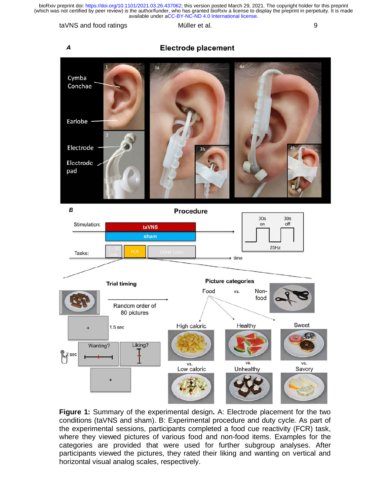taVNS and food ratings and multiple metal. The state of the state of the state of the state of the state of the state of the state of the state of the state of the state of the state of the state of the state of the state



**Figure 1:** Summary of the experimental design**.** A: Electrode placement for the two conditions (taVNS and sham). B: Experimental procedure and duty cycle. As part of the experimental sessions, participants completed a food cue reactivity (FCR) task, where they viewed pictures of various food and non-food items. Examples for the categories are provided that were used for further subgroup analyses. After participants viewed the pictures, they rated their liking and wanting on vertical and horizontal visual analog scales, respectively.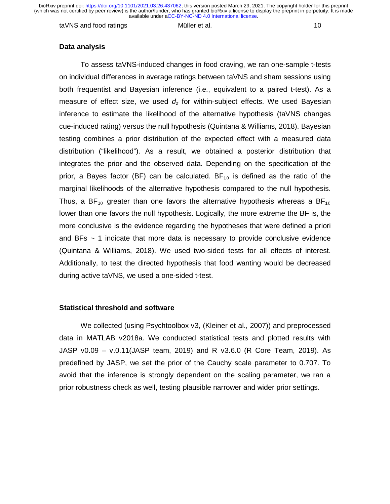taVNS and food ratings the Müller et al. 10

#### **Data analysis**

To assess taVNS-induced changes in food craving, we ran one-sample t-tests on individual differences in average ratings between taVNS and sham sessions using both frequentist and Bayesian inference (i.e., equivalent to a paired t-test). As a measure of effect size, we used  $d_z$  for within-subject effects. We used Bayesian inference to estimate the likelihood of the alternative hypothesis (taVNS changes cue-induced rating) versus the null hypothesis (Quintana & Williams, 2018). Bayesian testing combines a prior distribution of the expected effect with a measured data distribution ("likelihood"). As a result, we obtained a posterior distribution that integrates the prior and the observed data. Depending on the specification of the prior, a Bayes factor (BF) can be calculated. BF $_{10}$  is defined as the ratio of the marginal likelihoods of the alternative hypothesis compared to the null hypothesis. Thus, a BF<sub>10</sub> greater than one favors the alternative hypothesis whereas a BF<sub>10</sub> lower than one favors the null hypothesis. Logically, the more extreme the BF is, the more conclusive is the evidence regarding the hypotheses that were defined a priori and BFs  $\sim$  1 indicate that more data is necessary to provide conclusive evidence (Quintana & Williams, 2018). We used two-sided tests for all effects of interest. Additionally, to test the directed hypothesis that food wanting would be decreased during active taVNS, we used a one-sided t-test.

### **Statistical threshold and software**

We collected (using Psychtoolbox v3, (Kleiner et al., 2007)) and preprocessed data in MATLAB v2018a. We conducted statistical tests and plotted results with JASP v0.09 – v.0.11(JASP team, 2019) and R v3.6.0 (R Core Team, 2019). As predefined by JASP, we set the prior of the Cauchy scale parameter to 0.707. To avoid that the inference is strongly dependent on the scaling parameter, we ran a prior robustness check as well, testing plausible narrower and wider prior settings.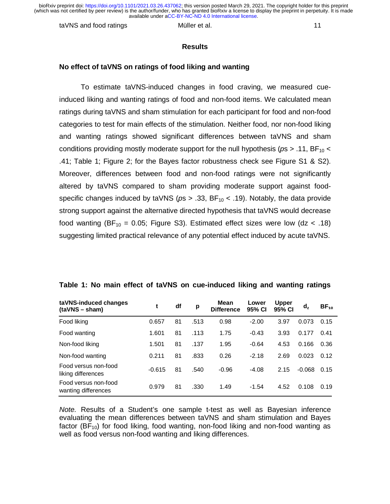taVNS and food ratings The Müller et al. 11

#### **Results**

### **No effect of taVNS on ratings of food liking and wanting**

To estimate taVNS-induced changes in food craving, we measured cueinduced liking and wanting ratings of food and non-food items. We calculated mean ratings during taVNS and sham stimulation for each participant for food and non-food categories to test for main effects of the stimulation. Neither food, nor non-food liking and wanting ratings showed significant differences between taVNS and sham conditions providing mostly moderate support for the null hypothesis ( $p s > 0.11$ , BF<sub>10</sub> < .41; Table 1; Figure 2; for the Bayes factor robustness check see Figure S1 & S2). Moreover, differences between food and non-food ratings were not significantly altered by taVNS compared to sham providing moderate support against foodspecific changes induced by taVNS ( $p$ s > .33,  $BF_{10}$  < .19). Notably, the data provide strong support against the alternative directed hypothesis that taVNS would decrease food wanting (BF<sub>10</sub> = 0.05; Figure S3). Estimated effect sizes were low (dz < .18) suggesting limited practical relevance of any potential effect induced by acute taVNS.

| taVNS-induced changes<br>$(taVNS - sham)$   | t        | df | р    | <b>Mean</b><br><b>Difference</b> | Lower<br>95% CI | <b>Upper</b><br>95% CI | d,       | $BF_{10}$ |
|---------------------------------------------|----------|----|------|----------------------------------|-----------------|------------------------|----------|-----------|
| Food liking                                 | 0.657    | 81 | .513 | 0.98                             | $-2.00$         | 3.97                   | 0.073    | 0.15      |
| Food wanting                                | 1.601    | 81 | .113 | 1.75                             | $-0.43$         | 3.93                   | 0.177    | 0.41      |
| Non-food liking                             | 1.501    | 81 | .137 | 1.95                             | $-0.64$         | 4.53                   | 0.166    | 0.36      |
| Non-food wanting                            | 0.211    | 81 | .833 | 0.26                             | $-2.18$         | 2.69                   | 0.023    | 0.12      |
| Food versus non-food<br>liking differences  | $-0.615$ | 81 | .540 | $-0.96$                          | $-4.08$         | 2.15                   | $-0.068$ | 0.15      |
| Food versus non-food<br>wanting differences | 0.979    | 81 | .330 | 1.49                             | $-1.54$         | 4.52                   | 0.108    | 0.19      |

### **Table 1: No main effect of taVNS on cue-induced liking and wanting ratings**

*Note.* Results of a Student's one sample t-test as well as Bayesian inference evaluating the mean differences between taVNS and sham stimulation and Bayes factor (BF<sub>10</sub>) for food liking, food wanting, non-food liking and non-food wanting as well as food versus non-food wanting and liking differences.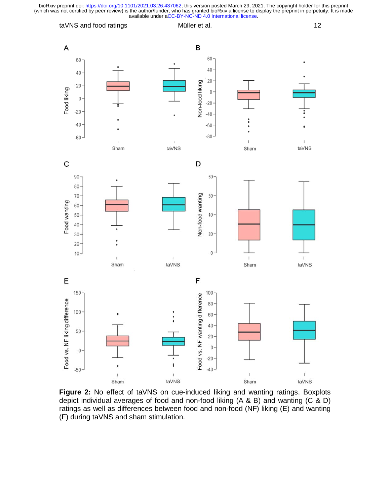

**Figure 2:** No effect of taVNS on cue-induced liking and wanting ratings. Boxplots depict individual averages of food and non-food liking (A & B) and wanting (C & D) ratings as well as differences between food and non-food (NF) liking (E) and wanting (F) during taVNS and sham stimulation.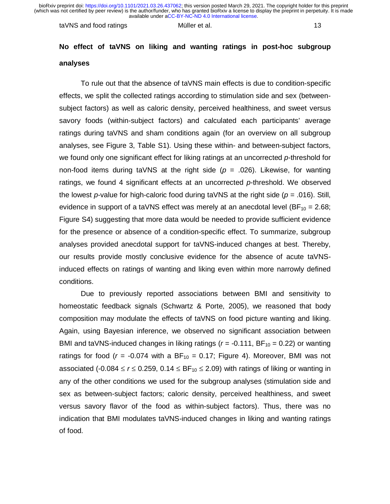taVNS and food ratings the Müller et al. 13

# **No effect of taVNS on liking and wanting ratings in post-hoc subgroup analyses**

To rule out that the absence of taVNS main effects is due to condition-specific effects, we split the collected ratings according to stimulation side and sex (betweensubject factors) as well as caloric density, perceived healthiness, and sweet versus savory foods (within-subject factors) and calculated each participants' average ratings during taVNS and sham conditions again (for an overview on all subgroup analyses, see Figure 3, Table S1). Using these within- and between-subject factors, we found only one significant effect for liking ratings at an uncorrected *p*-threshold for non-food items during taVNS at the right side  $(p = .026)$ . Likewise, for wanting ratings, we found 4 significant effects at an uncorrected *p*-threshold. We observed the lowest *p*-value for high-caloric food during taVNS at the right side (*p* = .016). Still, evidence in support of a taVNS effect was merely at an anecdotal level ( $BF_{10} = 2.68$ ; Figure S4) suggesting that more data would be needed to provide sufficient evidence for the presence or absence of a condition-specific effect. To summarize, subgroup analyses provided anecdotal support for taVNS-induced changes at best. Thereby, our results provide mostly conclusive evidence for the absence of acute taVNSinduced effects on ratings of wanting and liking even within more narrowly defined conditions.

Due to previously reported associations between BMI and sensitivity to homeostatic feedback signals (Schwartz & Porte, 2005), we reasoned that body composition may modulate the effects of taVNS on food picture wanting and liking. Again, using Bayesian inference, we observed no significant association between BMI and taVNS-induced changes in liking ratings ( $r = -0.111$ ,  $BF_{10} = 0.22$ ) or wanting ratings for food ( $r = -0.074$  with a  $BF_{10} = 0.17$ ; Figure 4). Moreover, BMI was not associated (-0.084  $\leq$  r  $\leq$  0.259, 0.14  $\leq$  BF<sub>10</sub>  $\leq$  2.09) with ratings of liking or wanting in any of the other conditions we used for the subgroup analyses (stimulation side and sex as between-subject factors; caloric density, perceived healthiness, and sweet versus savory flavor of the food as within-subject factors). Thus, there was no indication that BMI modulates taVNS-induced changes in liking and wanting ratings of food.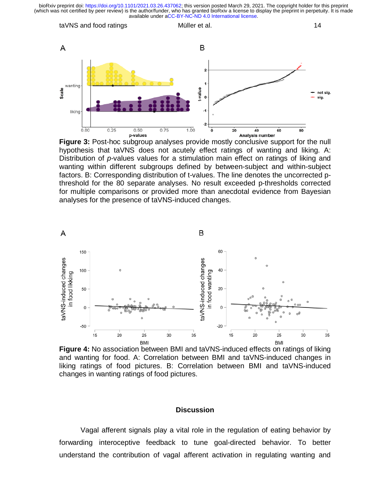

**Figure 3:** Post-hoc subgroup analyses provide mostly conclusive support for the null hypothesis that taVNS does not acutely effect ratings of wanting and liking. A: Distribution of *p*-values values for a stimulation main effect on ratings of liking and wanting within different subgroups defined by between-subject and within-subject factors. B: Corresponding distribution of t-values. The line denotes the uncorrected pthreshold for the 80 separate analyses. No result exceeded p-thresholds corrected for multiple comparisons or provided more than anecdotal evidence from Bayesian analyses for the presence of taVNS-induced changes.



**Figure 4:** No association between BMI and taVNS-induced effects on ratings of liking and wanting for food. A: Correlation between BMI and taVNS-induced changes in liking ratings of food pictures. B: Correlation between BMI and taVNS-induced changes in wanting ratings of food pictures.

### **Discussion**

Vagal afferent signals play a vital role in the regulation of eating behavior by forwarding interoceptive feedback to tune goal-directed behavior. To better understand the contribution of vagal afferent activation in regulating wanting and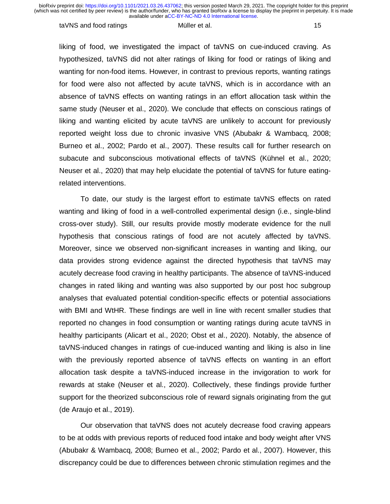#### taVNS and food ratings The Müller et al. 15

liking of food, we investigated the impact of taVNS on cue-induced craving. As hypothesized, taVNS did not alter ratings of liking for food or ratings of liking and wanting for non-food items. However, in contrast to previous reports, wanting ratings for food were also not affected by acute taVNS, which is in accordance with an absence of taVNS effects on wanting ratings in an effort allocation task within the same study (Neuser et al., 2020). We conclude that effects on conscious ratings of liking and wanting elicited by acute taVNS are unlikely to account for previously reported weight loss due to chronic invasive VNS (Abubakr & Wambacq, 2008; Burneo et al., 2002; Pardo et al., 2007). These results call for further research on subacute and subconscious motivational effects of taVNS (Kühnel et al., 2020; Neuser et al., 2020) that may help elucidate the potential of taVNS for future eatingrelated interventions.

To date, our study is the largest effort to estimate taVNS effects on rated wanting and liking of food in a well-controlled experimental design (i.e., single-blind cross-over study). Still, our results provide mostly moderate evidence for the null hypothesis that conscious ratings of food are not acutely affected by taVNS. Moreover, since we observed non-significant increases in wanting and liking, our data provides strong evidence against the directed hypothesis that taVNS may acutely decrease food craving in healthy participants. The absence of taVNS-induced changes in rated liking and wanting was also supported by our post hoc subgroup analyses that evaluated potential condition-specific effects or potential associations with BMI and WtHR. These findings are well in line with recent smaller studies that reported no changes in food consumption or wanting ratings during acute taVNS in healthy participants (Alicart et al., 2020; Obst et al., 2020). Notably, the absence of taVNS-induced changes in ratings of cue-induced wanting and liking is also in line with the previously reported absence of taVNS effects on wanting in an effort allocation task despite a taVNS-induced increase in the invigoration to work for rewards at stake (Neuser et al., 2020). Collectively, these findings provide further support for the theorized subconscious role of reward signals originating from the gut (de Araujo et al., 2019).

Our observation that taVNS does not acutely decrease food craving appears to be at odds with previous reports of reduced food intake and body weight after VNS (Abubakr & Wambacq, 2008; Burneo et al., 2002; Pardo et al., 2007). However, this discrepancy could be due to differences between chronic stimulation regimes and the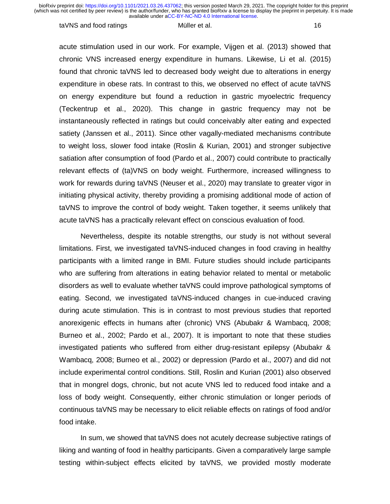#### taVNS and food ratings the Müller et al. 16

acute stimulation used in our work. For example, Vijgen et al. (2013) showed that chronic VNS increased energy expenditure in humans. Likewise, Li et al. (2015) found that chronic taVNS led to decreased body weight due to alterations in energy expenditure in obese rats. In contrast to this, we observed no effect of acute taVNS on energy expenditure but found a reduction in gastric myoelectric frequency (Teckentrup et al., 2020). This change in gastric frequency may not be instantaneously reflected in ratings but could conceivably alter eating and expected satiety (Janssen et al., 2011). Since other vagally-mediated mechanisms contribute to weight loss, slower food intake (Roslin & Kurian, 2001) and stronger subjective satiation after consumption of food (Pardo et al., 2007) could contribute to practically relevant effects of (ta)VNS on body weight. Furthermore, increased willingness to work for rewards during taVNS (Neuser et al., 2020) may translate to greater vigor in initiating physical activity, thereby providing a promising additional mode of action of taVNS to improve the control of body weight. Taken together, it seems unlikely that acute taVNS has a practically relevant effect on conscious evaluation of food.

Nevertheless, despite its notable strengths, our study is not without several limitations. First, we investigated taVNS-induced changes in food craving in healthy participants with a limited range in BMI. Future studies should include participants who are suffering from alterations in eating behavior related to mental or metabolic disorders as well to evaluate whether taVNS could improve pathological symptoms of eating. Second, we investigated taVNS-induced changes in cue-induced craving during acute stimulation. This is in contrast to most previous studies that reported anorexigenic effects in humans after (chronic) VNS (Abubakr & Wambacq, 2008; Burneo et al., 2002; Pardo et al., 2007). It is important to note that these studies investigated patients who suffered from either drug-resistant epilepsy (Abubakr & Wambacq, 2008; Burneo et al., 2002) or depression (Pardo et al., 2007) and did not include experimental control conditions. Still, Roslin and Kurian (2001) also observed that in mongrel dogs, chronic, but not acute VNS led to reduced food intake and a loss of body weight. Consequently, either chronic stimulation or longer periods of continuous taVNS may be necessary to elicit reliable effects on ratings of food and/or food intake.

In sum, we showed that taVNS does not acutely decrease subjective ratings of liking and wanting of food in healthy participants. Given a comparatively large sample testing within-subject effects elicited by taVNS, we provided mostly moderate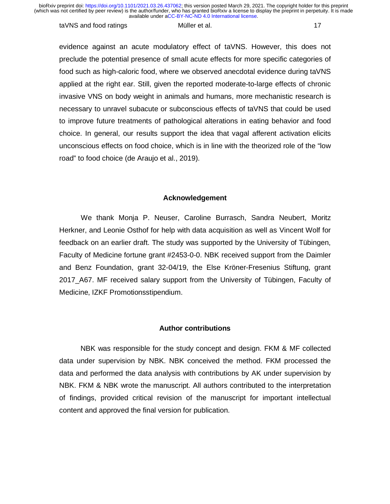#### taVNS and food ratings The Müller et al. 17

evidence against an acute modulatory effect of taVNS. However, this does not preclude the potential presence of small acute effects for more specific categories of food such as high-caloric food, where we observed anecdotal evidence during taVNS applied at the right ear. Still, given the reported moderate-to-large effects of chronic invasive VNS on body weight in animals and humans, more mechanistic research is necessary to unravel subacute or subconscious effects of taVNS that could be used to improve future treatments of pathological alterations in eating behavior and food choice. In general, our results support the idea that vagal afferent activation elicits unconscious effects on food choice, which is in line with the theorized role of the "low road" to food choice (de Araujo et al., 2019).

#### **Acknowledgement**

We thank Monja P. Neuser, Caroline Burrasch, Sandra Neubert, Moritz Herkner, and Leonie Osthof for help with data acquisition as well as Vincent Wolf for feedback on an earlier draft. The study was supported by the University of Tübingen, Faculty of Medicine fortune grant #2453-0-0. NBK received support from the Daimler and Benz Foundation, grant 32-04/19, the Else Kröner-Fresenius Stiftung, grant 2017\_A67. MF received salary support from the University of Tübingen, Faculty of Medicine, IZKF Promotionsstipendium.

#### **Author contributions**

NBK was responsible for the study concept and design. FKM & MF collected data under supervision by NBK. NBK conceived the method. FKM processed the data and performed the data analysis with contributions by AK under supervision by NBK. FKM & NBK wrote the manuscript. All authors contributed to the interpretation of findings, provided critical revision of the manuscript for important intellectual content and approved the final version for publication.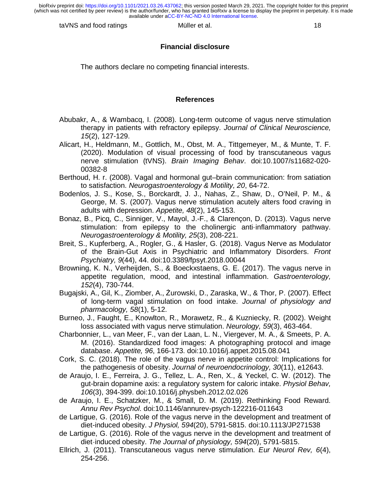taVNS and food ratings The Müller et al. 18

### **Financial disclosure**

The authors declare no competing financial interests.

### **References**

- Abubakr, A., & Wambacq, I. (2008). Long-term outcome of vagus nerve stimulation therapy in patients with refractory epilepsy. *Journal of Clinical Neuroscience, 15*(2), 127-129.
- Alicart, H., Heldmann, M., Gottlich, M., Obst, M. A., Tittgemeyer, M., & Munte, T. F. (2020). Modulation of visual processing of food by transcutaneous vagus nerve stimulation (tVNS). *Brain Imaging Behav*. doi:10.1007/s11682-020- 00382-8
- Berthoud, H. r. (2008). Vagal and hormonal gut–brain communication: from satiation to satisfaction. *Neurogastroenterology & Motility, 20*, 64-72.
- Bodenlos, J. S., Kose, S., Borckardt, J. J., Nahas, Z., Shaw, D., O'Neil, P. M., & George, M. S. (2007). Vagus nerve stimulation acutely alters food craving in adults with depression. *Appetite, 48*(2), 145-153.
- Bonaz, B., Picq, C., Sinniger, V., Mayol, J.-F., & Clarençon, D. (2013). Vagus nerve stimulation: from epilepsy to the cholinergic anti-inflammatory pathway. *Neurogastroenterology & Motility, 25*(3), 208-221.
- Breit, S., Kupferberg, A., Rogler, G., & Hasler, G. (2018). Vagus Nerve as Modulator of the Brain-Gut Axis in Psychiatric and Inflammatory Disorders. *Front Psychiatry, 9*(44), 44. doi:10.3389/fpsyt.2018.00044
- Browning, K. N., Verheijden, S., & Boeckxstaens, G. E. (2017). The vagus nerve in appetite regulation, mood, and intestinal inflammation. *Gastroenterology, 152*(4), 730-744.
- Bugajski, A., Gil, K., Ziomber, A., Żurowski, D., Zaraska, W., & Thor, P. (2007). Effect of long-term vagal stimulation on food intake. *Journal of physiology and pharmacology, 58*(1), 5-12.
- Burneo, J., Faught, E., Knowlton, R., Morawetz, R., & Kuzniecky, R. (2002). Weight loss associated with vagus nerve stimulation. *Neurology, 59*(3), 463-464.
- Charbonnier, L., van Meer, F., van der Laan, L. N., Viergever, M. A., & Smeets, P. A. M. (2016). Standardized food images: A photographing protocol and image database. *Appetite, 96*, 166-173. doi:10.1016/j.appet.2015.08.041
- Cork, S. C. (2018). The role of the vagus nerve in appetite control: Implications for the pathogenesis of obesity. *Journal of neuroendocrinology, 30*(11), e12643.
- de Araujo, I. E., Ferreira, J. G., Tellez, L. A., Ren, X., & Yeckel, C. W. (2012). The gut-brain dopamine axis: a regulatory system for caloric intake. *Physiol Behav, 106*(3), 394-399. doi:10.1016/j.physbeh.2012.02.026
- de Araujo, I. E., Schatzker, M., & Small, D. M. (2019). Rethinking Food Reward. *Annu Rev Psychol*. doi:10.1146/annurev-psych-122216-011643
- de Lartigue, G. (2016). Role of the vagus nerve in the development and treatment of diet-induced obesity. *J Physiol, 594*(20), 5791-5815. doi:10.1113/JP271538
- de Lartigue, G. (2016). Role of the vagus nerve in the development and treatment of diet-induced obesity. The Journal of physiology, 594(20), 5791-5815.
- Ellrich, J. (2011). Transcutaneous vagus nerve stimulation. *Eur Neurol Rev, 6*(4), 254-256.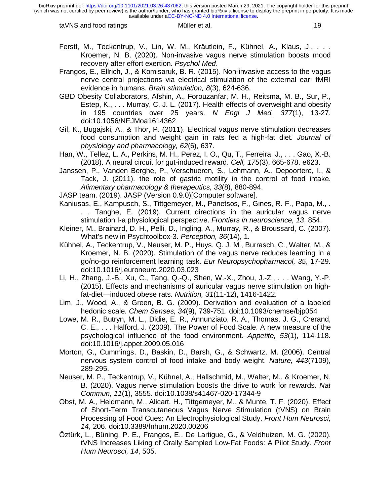taVNS and food ratings The Müller et al. 19

- Ferstl, M., Teckentrup, V., Lin, W. M., Kräutlein, F., Kühnel, A., Klaus, J., . . . Kroemer, N. B. (2020). Non-invasive vagus nerve stimulation boosts mood recovery after effort exertion. *Psychol Med*.
- Frangos, E., Ellrich, J., & Komisaruk, B. R. (2015). Non-invasive access to the vagus nerve central projections via electrical stimulation of the external ear: fMRI evidence in humans. *Brain stimulation, 8*(3), 624-636.
- GBD Obesity Collaborators, Afshin, A., Forouzanfar, M. H., Reitsma, M. B., Sur, P., Estep, K., . . . Murray, C. J. L. (2017). Health effects of overweight and obesity in 195 countries over 25 years. *N Engl J Med, 377*(1), 13-27. doi:10.1056/NEJMoa1614362
- Gil, K., Bugajski, A., & Thor, P. (2011). Electrical vagus nerve stimulation decreases food consumption and weight gain in rats fed a high-fat diet. *Journal of physiology and pharmacology, 62*(6), 637.
- Han, W., Tellez, L. A., Perkins, M. H., Perez, I. O., Qu, T., Ferreira, J., . . . Gao, X.-B. (2018). A neural circuit for gut-induced reward. *Cell, 175*(3), 665-678. e623.
- Janssen, P., Vanden Berghe, P., Verschueren, S., Lehmann, A., Depoortere, I., & Tack, J. (2011). the role of gastric motility in the control of food intake. *Alimentary pharmacology & therapeutics, 33*(8), 880-894.
- JASP team. (2019). JASP (Version 0.9.0)[Computer software].
- Kaniusas, E., Kampusch, S., Tittgemeyer, M., Panetsos, F., Gines, R. F., Papa, M., . . . Tanghe, E. (2019). Current directions in the auricular vagus nerve stimulation I-a physiological perspective. *Frontiers in neuroscience, 13*, 854.
- Kleiner, M., Brainard, D. H., Pelli, D., Ingling, A., Murray, R., & Broussard, C. (2007). What's new in Psychtoolbox-3. *Perception, 36*(14), 1.
- Kühnel, A., Teckentrup, V., Neuser, M. P., Huys, Q. J. M., Burrasch, C., Walter, M., & Kroemer, N. B. (2020). Stimulation of the vagus nerve reduces learning in a go/no-go reinforcement learning task. *Eur Neuropsychopharmacol, 35*, 17-29. doi:10.1016/j.euroneuro.2020.03.023
- Li, H., Zhang, J.-B., Xu, C., Tang, Q.-Q., Shen, W.-X., Zhou, J.-Z., . . . Wang, Y.-P. (2015). Effects and mechanisms of auricular vagus nerve stimulation on highfat-diet—induced obese rats. *Nutrition, 31*(11-12), 1416-1422.
- Lim, J., Wood, A., & Green, B. G. (2009). Derivation and evaluation of a labeled hedonic scale. *Chem Senses, 34*(9), 739-751. doi:10.1093/chemse/bjp054
- Lowe, M. R., Butryn, M. L., Didie, E. R., Annunziato, R. A., Thomas, J. G., Crerand, C. E., . . . Halford, J. (2009). The Power of Food Scale. A new measure of the psychological influence of the food environment. *Appetite, 53*(1), 114-118. doi:10.1016/j.appet.2009.05.016
- Morton, G., Cummings, D., Baskin, D., Barsh, G., & Schwartz, M. (2006). Central nervous system control of food intake and body weight. *Nature, 443*(7109), 289-295.
- Neuser, M. P., Teckentrup, V., Kühnel, A., Hallschmid, M., Walter, M., & Kroemer, N. B. (2020). Vagus nerve stimulation boosts the drive to work for rewards. *Nat Commun, 11*(1), 3555. doi:10.1038/s41467-020-17344-9
- Obst, M. A., Heldmann, M., Alicart, H., Tittgemeyer, M., & Munte, T. F. (2020). Effect of Short-Term Transcutaneous Vagus Nerve Stimulation (tVNS) on Brain Processing of Food Cues: An Electrophysiological Study. *Front Hum Neurosci, 14*, 206. doi:10.3389/fnhum.2020.00206
- Öztürk, L., Büning, P. E., Frangos, E., De Lartigue, G., & Veldhuizen, M. G. (2020). tVNS Increases Liking of Orally Sampled Low-Fat Foods: A Pilot Study. *Front Hum Neurosci, 14*, 505.